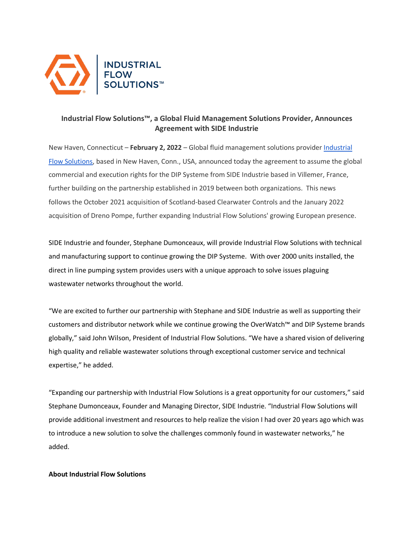

## **Industrial Flow Solutions™, a Global Fluid Management Solutions Provider, Announces Agreement with SIDE Industrie**

New Haven, Connecticut – **February 2, 2022** – Global fluid management solutions provider [Industrial](https://flowsolutions.com/)  [Flow Solutions,](https://flowsolutions.com/) based in New Haven, Conn., USA, announced today the agreement to assume the global commercial and execution rights for the DIP Systeme from SIDE Industrie based in Villemer, France, further building on the partnership established in 2019 between both organizations. This news follows the October 2021 acquisition of Scotland-based Clearwater Controls and the January 2022 acquisition of Dreno Pompe, further expanding Industrial Flow Solutions' growing European presence.

SIDE Industrie and founder, Stephane Dumonceaux, will provide Industrial Flow Solutions with technical and manufacturing support to continue growing the DIP Systeme. With over 2000 units installed, the direct in line pumping system provides users with a unique approach to solve issues plaguing wastewater networks throughout the world.

"We are excited to further our partnership with Stephane and SIDE Industrie as well as supporting their customers and distributor network while we continue growing the OverWatch™ and DIP Systeme brands globally," said John Wilson, President of Industrial Flow Solutions. "We have a shared vision of delivering high quality and reliable wastewater solutions through exceptional customer service and technical expertise," he added.

"Expanding our partnership with Industrial Flow Solutions is a great opportunity for our customers," said Stephane Dumonceaux, Founder and Managing Director, SIDE Industrie. "Industrial Flow Solutions will provide additional investment and resources to help realize the vision I had over 20 years ago which was to introduce a new solution to solve the challenges commonly found in wastewater networks," he added.

## **About Industrial Flow Solutions**